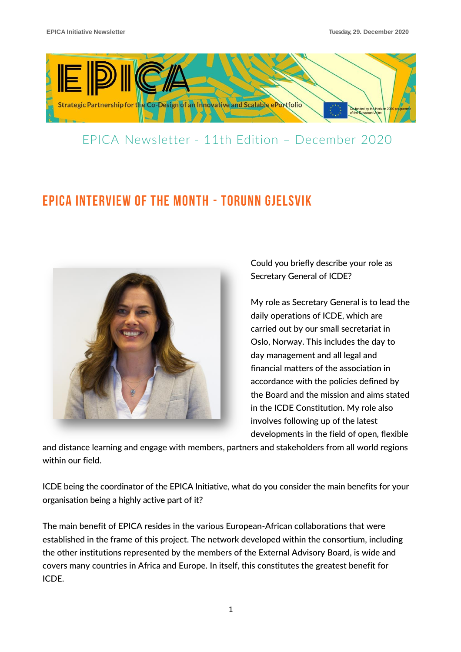

#### EPICA Newsletter - 11th Edition – December 2020

# EPICA INTERVIEW OF THE MONTH - Torunn Gjelsvik



Could you briefly describe your role as Secretary General of ICDE?

My role as Secretary General is to lead the daily operations of ICDE, which are carried out by our small secretariat in Oslo, Norway. This includes the day to day management and all legal and financial matters of the association in accordance with the policies defined by the Board and the mission and aims stated in the ICDE Constitution. My role also involves following up of the latest developments in the field of open, flexible

and distance learning and engage with members, partners and stakeholders from all world regions within our field.

ICDE being the coordinator of the EPICA Initiative, what do you consider the main benefits for your organisation being a highly active part of it?

The main benefit of EPICA resides in the various European-African collaborations that were established in the frame of this project. The network developed within the consortium, including the other institutions represented by the members of the External Advisory Board, is wide and covers many countries in Africa and Europe. In itself, this constitutes the greatest benefit for ICDE.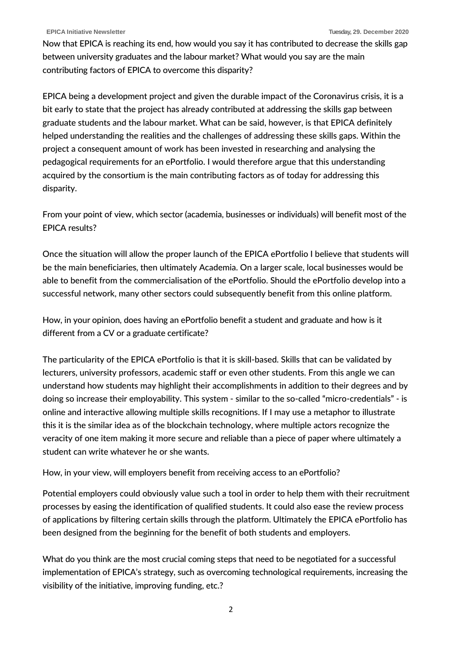Now that EPICA is reaching its end, how would you say it has contributed to decrease the skills gap between university graduates and the labour market? What would you say are the main contributing factors of EPICA to overcome this disparity?

EPICA being a development project and given the durable impact of the Coronavirus crisis, it is a bit early to state that the project has already contributed at addressing the skills gap between graduate students and the labour market. What can be said, however, is that EPICA definitely helped understanding the realities and the challenges of addressing these skills gaps. Within the project a consequent amount of work has been invested in researching and analysing the pedagogical requirements for an ePortfolio. I would therefore argue that this understanding acquired by the consortium is the main contributing factors as of today for addressing this disparity.

From your point of view, which sector (academia, businesses or individuals) will benefit most of the EPICA results?

Once the situation will allow the proper launch of the EPICA ePortfolio I believe that students will be the main beneficiaries, then ultimately Academia. On a larger scale, local businesses would be able to benefit from the commercialisation of the ePortfolio. Should the ePortfolio develop into a successful network, many other sectors could subsequently benefit from this online platform.

How, in your opinion, does having an ePortfolio benefit a student and graduate and how is it different from a CV or a graduate certificate?

The particularity of the EPICA ePortfolio is that it is skill-based. Skills that can be validated by lecturers, university professors, academic staff or even other students. From this angle we can understand how students may highlight their accomplishments in addition to their degrees and by doing so increase their employability. This system - similar to the so-called "micro-credentials" - is online and interactive allowing multiple skills recognitions. If I may use a metaphor to illustrate this it is the similar idea as of the blockchain technology, where multiple actors recognize the veracity of one item making it more secure and reliable than a piece of paper where ultimately a student can write whatever he or she wants.

How, in your view, will employers benefit from receiving access to an ePortfolio?

Potential employers could obviously value such a tool in order to help them with their recruitment processes by easing the identification of qualified students. It could also ease the review process of applications by filtering certain skills through the platform. Ultimately the EPICA ePortfolio has been designed from the beginning for the benefit of both students and employers.

What do you think are the most crucial coming steps that need to be negotiated for a successful implementation of EPICA's strategy, such as overcoming technological requirements, increasing the visibility of the initiative, improving funding, etc.?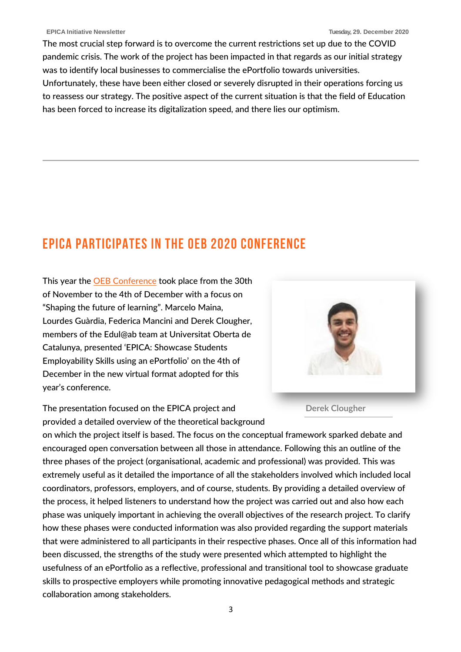The most crucial step forward is to overcome the current restrictions set up due to the COVID pandemic crisis. The work of the project has been impacted in that regards as our initial strategy was to identify local businesses to commercialise the ePortfolio towards universities. Unfortunately, these have been either closed or severely disrupted in their operations forcing us to reassess our strategy. The positive aspect of the current situation is that the field of Education has been forced to increase its digitalization speed, and there lies our optimism.

## EPICA participates in the OEB 2020 Conference

This year the [OEB Conference](https://oeb.global/) took place from the 30th of November to the 4th of December with a focus on "Shaping the future of learning". Marcelo Maina, Lourdes Guàrdia, Federica Mancini and Derek Clougher, members of the Edul@ab team at Universitat Oberta de Catalunya, presented 'EPICA: Showcase Students Employability Skills using an ePortfolio' on the 4th of December in the new virtual format adopted for this year's conference.



**Derek Clougher**

The presentation focused on the EPICA project and provided a detailed overview of the theoretical background

on which the project itself is based. The focus on the conceptual framework sparked debate and encouraged open conversation between all those in attendance. Following this an outline of the three phases of the project (organisational, academic and professional) was provided. This was extremely useful as it detailed the importance of all the stakeholders involved which included local coordinators, professors, employers, and of course, students. By providing a detailed overview of the process, it helped listeners to understand how the project was carried out and also how each phase was uniquely important in achieving the overall objectives of the research project. To clarify how these phases were conducted information was also provided regarding the support materials that were administered to all participants in their respective phases. Once all of this information had been discussed, the strengths of the study were presented which attempted to highlight the usefulness of an ePortfolio as a reflective, professional and transitional tool to showcase graduate skills to prospective employers while promoting innovative pedagogical methods and strategic collaboration among stakeholders.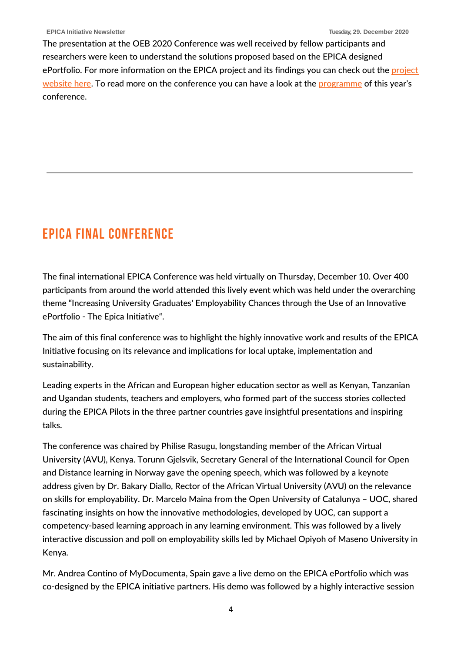The presentation at the OEB 2020 Conference was well received by fellow participants and researchers were keen to understand the solutions proposed based on the EPICA designed ePortfolio. For more information on the EPICA [project](https://www.epica-initiative.com/) and its findings you can check out the project [website here.](https://www.epica-initiative.com/) To read more on the conference you can have a look at the [programme](https://oeb.global/conference#agenda) of this year's conference.

## Epica Final Conference

The final international EPICA Conference was held virtually on Thursday, December 10. Over 400 participants from around the world attended this lively event which was held under the overarching theme "Increasing University Graduates' Employability Chances through the Use of an Innovative ePortfolio - The Epica Initiative".

The aim of this final conference was to highlight the highly innovative work and results of the EPICA Initiative focusing on its relevance and implications for local uptake, implementation and sustainability.

Leading experts in the African and European higher education sector as well as Kenyan, Tanzanian and Ugandan students, teachers and employers, who formed part of the success stories collected during the EPICA Pilots in the three partner countries gave insightful presentations and inspiring talks.

The conference was chaired by Philise Rasugu, longstanding member of the African Virtual University (AVU), Kenya. Torunn Gjelsvik, Secretary General of the International Council for Open and Distance learning in Norway gave the opening speech, which was followed by a keynote address given by Dr. Bakary Diallo, Rector of the African Virtual University (AVU) on the relevance on skills for employability. Dr. Marcelo Maina from the Open University of Catalunya – UOC, shared fascinating insights on how the innovative methodologies, developed by UOC, can support a competency-based learning approach in any learning environment. This was followed by a lively interactive discussion and poll on employability skills led by Michael Opiyoh of Maseno University in Kenya.

Mr. Andrea Contino of MyDocumenta, Spain gave a live demo on the EPICA ePortfolio which was co-designed by the EPICA initiative partners. His demo was followed by a highly interactive session

4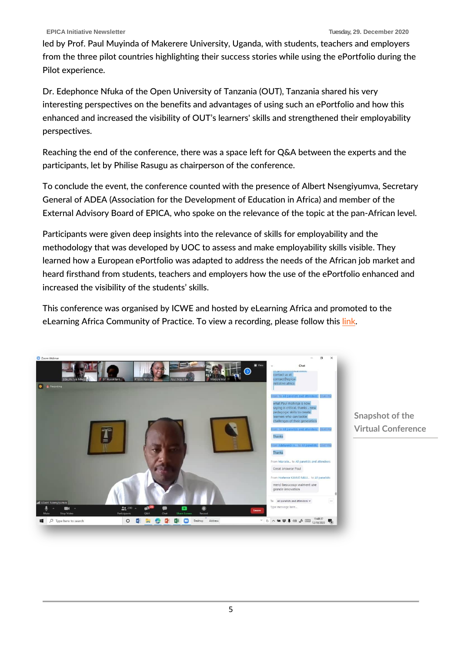led by Prof. Paul Muyinda of Makerere University, Uganda, with students, teachers and employers from the three pilot countries highlighting their success stories while using the ePortfolio during the Pilot experience.

Dr. Edephonce Nfuka of the Open University of Tanzania (OUT), Tanzania shared his very interesting perspectives on the benefits and advantages of using such an ePortfolio and how this enhanced and increased the visibility of OUT's learners' skills and strengthened their employability perspectives.

Reaching the end of the conference, there was a space left for Q&A between the experts and the participants, let by Philise Rasugu as chairperson of the conference.

To conclude the event, the conference counted with the presence of Albert Nsengiyumva, Secretary General of ADEA (Association for the Development of Education in Africa) and member of the External Advisory Board of EPICA, who spoke on the relevance of the topic at the pan-African level.

Participants were given deep insights into the relevance of skills for employability and the methodology that was developed by UOC to assess and make employability skills visible. They learned how a European ePortfolio was adapted to address the needs of the African job market and heard firsthand from students, teachers and employers how the use of the ePortfolio enhanced and increased the visibility of the students' skills.

This conference was organised by ICWE and hosted by eLearning Africa and promoted to the eLearning Africa Community of Practice. To view a recording, please follow this [link.](https://www.epica-initiative.com/ressources/video/2020_12/)



**Snapshot of the Virtual Conference**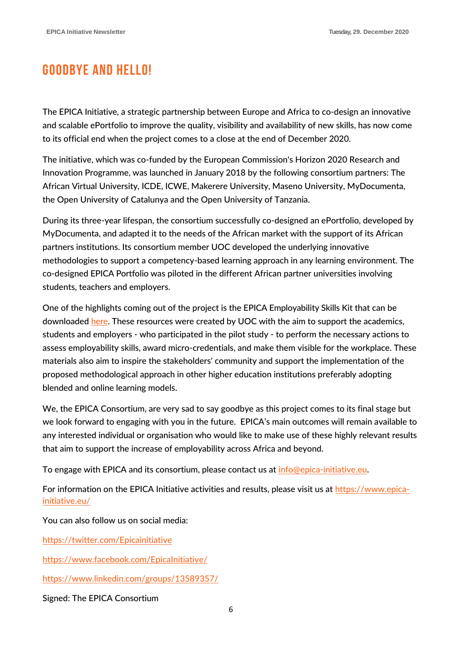### Goodbye and hello!

The EPICA Initiative, a strategic partnership between Europe and Africa to co-design an innovative and scalable ePortfolio to improve the quality, visibility and availability of new skills, has now come to its official end when the project comes to a close at the end of December 2020.

The initiative, which was co-funded by the European Commission's Horizon 2020 Research and Innovation Programme, was launched in January 2018 by the following consortium partners: The African Virtual University, ICDE, ICWE, Makerere University, Maseno University, MyDocumenta, the Open University of Catalunya and the Open University of Tanzania.

During its three-year lifespan, the consortium successfully co-designed an ePortfolio, developed by MyDocumenta, and adapted it to the needs of the African market with the support of its African partners institutions. Its consortium member UOC developed the underlying innovative methodologies to support a competency-based learning approach in any learning environment. The co-designed EPICA Portfolio was piloted in the different African partner universities involving students, teachers and employers.

One of the highlights coming out of the project is the EPICA Employability Skills Kit that can be downloaded [here.](https://www.epica-initiative.com/employability_skills_kit.php) These resources were created by UOC with the aim to support the academics, students and employers - who participated in the pilot study - to perform the necessary actions to assess employability skills, award micro-credentials, and make them visible for the workplace. These materials also aim to inspire the stakeholders' community and support the implementation of the proposed methodological approach in other higher education institutions preferably adopting blended and online learning models.

We, the EPICA Consortium, are very sad to say goodbye as this project comes to its final stage but we look forward to engaging with you in the future. EPICA's main outcomes will remain available to any interested individual or organisation who would like to make use of these highly relevant results that aim to support the increase of employability across Africa and beyond.

To engage with EPICA and its consortium, please contact us at [info@epica-initiative.eu.](mailto:info@epica-initiative.eu)

For information on the EPICA Initiative activities and results, please visit us at [https://www.epica](https://www.epica-initiative.eu/)[initiative.eu/](https://www.epica-initiative.eu/)

You can also follow us on social media:

<https://twitter.com/Epicainitiative>

<https://www.facebook.com/EpicaInitiative/>

<https://www.linkedin.com/groups/13589357/>

Signed: The EPICA Consortium